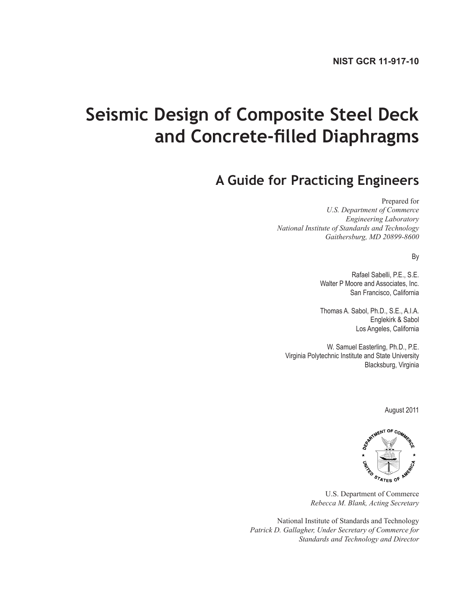# **Seismic Design of Composite Steel Deck and Concrete-filled Diaphragms**

## **A Guide for Practicing Engineers**

Prepared for

*U.S. Department of Commerce Engineering Laboratory National Institute of Standards and Technology Gaithersburg, MD 20899-8600*

By

Rafael Sabelli, P.E., S.E. Walter P Moore and Associates, Inc. San Francisco, California

Thomas A. Sabol, Ph.D., S.E., A.I.A. Englekirk & Sabol Los Angeles, California

W. Samuel Easterling, Ph.D., P.E. Virginia Polytechnic Institute and State University Blacksburg, Virginia

August 2011



U.S. Department of Commerce *Rebecca M. Blank, Acting Secretary*

National Institute of Standards and Technology *Patrick D. Gallagher, Under Secretary of Commerce for Standards and Technology and Director*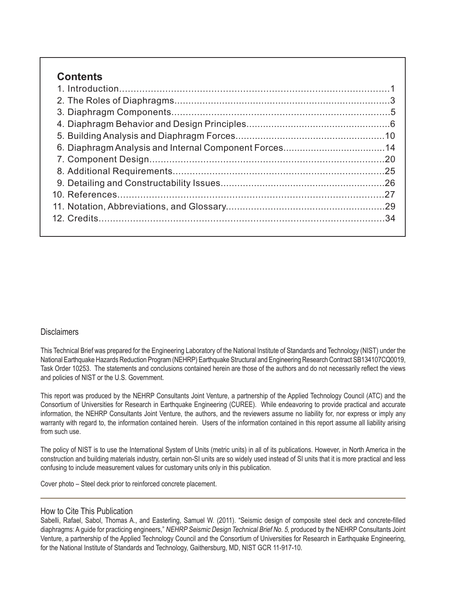### **Contents**

#### **Disclaimers**

This Technical Brief was prepared for the Engineering Laboratory of the National Institute of Standards and Technology (NIST) under the National Earthquake Hazards Reduction Program (NEHRP) Earthquake Structural and Engineering Research Contract SB134107CQ0019, Task Order 10253. The statements and conclusions contained herein are those of the authors and do not necessarily reflect the views and policies of NIST or the U.S. Government.

This report was produced by the NEHRP Consultants Joint Venture, a partnership of the Applied Technology Council (ATC) and the Consortium of Universities for Research in Earthquake Engineering (CUREE). While endeavoring to provide practical and accurate information, the NEHRP Consultants Joint Venture, the authors, and the reviewers assume no liability for, nor express or imply any warranty with regard to, the information contained herein. Users of the information contained in this report assume all liability arising from such use.

The policy of NIST is to use the International System of Units (metric units) in all of its publications. However, in North America in the construction and building materials industry, certain non-SI units are so widely used instead of SI units that it is more practical and less confusing to include measurement values for customary units only in this publication.

Cover photo – Steel deck prior to reinforced concrete placement.

#### How to Cite This Publication

Sabelli, Rafael, Sabol, Thomas A., and Easterling, Samuel W. (2011). "Seismic design of composite steel deck and concrete-filled diaphragms: A quide for practicing engineers," NEHRP Seismic Design Technical Brief No. 5, produced by the NEHRP Consultants Joint Venture, a partnership of the Applied Technology Council and the Consortium of Universities for Research in Earthquake Engineering, for the National Institute of Standards and Technology, Gaithersburg, MD, NIST GCR 11-917-10.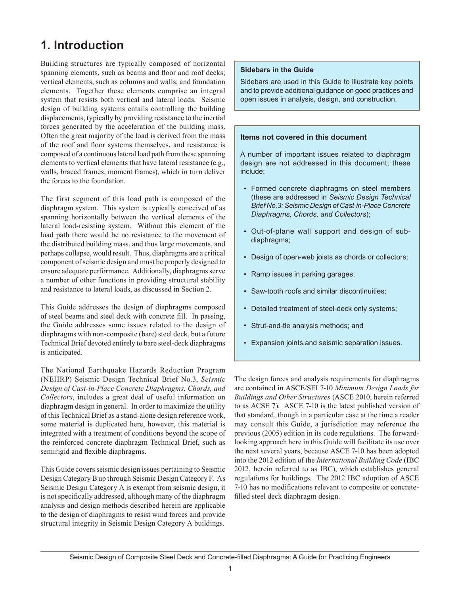### **1. Introduction**

Building structures are typically composed of horizontal spanning elements, such as beams and floor and roof decks; vertical elements, such as columns and walls; and foundation elements. Together these elements comprise an integral system that resists both vertical and lateral loads. Seismic design of building systems entails controlling the building displacements, typically by providing resistance to the inertial forces generated by the acceleration of the building mass. Often the great majority of the load is derived from the mass of the roof and floor systems themselves, and resistance is composed of a continuous lateral load path from these spanning elements to vertical elements that have lateral resistance (e.g., walls, braced frames, moment frames), which in turn deliver the forces to the foundation.

The first segment of this load path is composed of the diaphragm system. This system is typically conceived of as spanning horizontally between the vertical elements of the lateral load-resisting system. Without this element of the load path there would be no resistance to the movement of the distributed building mass, and thus large movements, and perhaps collapse, would result. Thus, diaphragms are a critical component of seismic design and must be properly designed to ensure adequate performance. Additionally, diaphragms serve a number of other functions in providing structural stability and resistance to lateral loads, as discussed in Section 2.

This Guide addresses the design of diaphragms composed of steel beams and steel deck with concrete fill. In passing, the Guide addresses some issues related to the design of diaphragms with non-composite (bare) steel deck, but a future Technical Brief devoted entirely to bare steel-deck diaphragms is anticipated.

The National Earthquake Hazards Reduction Program (NEHRP) Seismic Design Technical Brief No.3, *Seismic Design of Cast-in-Place Concrete Diaphragms, Chords, and Collectors*, includes a great deal of useful information on diaphragm design in general. In order to maximize the utility of this Technical Brief as a stand-alone design reference work, some material is duplicated here, however, this material is integrated with a treatment of conditions beyond the scope of the reinforced concrete diaphragm Technical Brief, such as semirigid and flexible diaphragms.

This Guide covers seismic design issues pertaining to Seismic Design Category B up through Seismic Design Category F. As Seismic Design Category A is exempt from seismic design, it is not specifically addressed, although many of the diaphragm analysis and design methods described herein are applicable to the design of diaphragms to resist wind forces and provide structural integrity in Seismic Design Category A buildings.

#### **Sidebars in the Guide**

Sidebars are used in this Guide to illustrate key points and to provide additional guidance on good practices and open issues in analysis, design, and construction.

#### **Items not covered in this document**

A number of important issues related to diaphragm design are not addressed in this document; these include:

- Formed concrete diaphragms on steel members (these are addressed in *Seismic Design Technical Brief No.3: Seismic Design of Cast-in-Place Concrete Diaphragms, Chords, and Collectors*);
- Out-of-plane wall support and design of subdiaphragms;
- Design of open-web joists as chords or collectors;
- Ramp issues in parking garages;
- Saw-tooth roofs and similar discontinuities;
- Detailed treatment of steel-deck only systems;
- Strut-and-tie analysis methods; and •
- Expansion joints and seismic separation issues. •

The design forces and analysis requirements for diaphragms are contained in ASCE/SEI 7-10 *Minimum Design Loads for Buildings and Other Structures* (ASCE 2010, herein referred to as ACSE 7). ASCE 7-10 is the latest published version of that standard, though in a particular case at the time a reader may consult this Guide, a jurisdiction may reference the previous (2005) edition in its code regulations. The forwardlooking approach here in this Guide will facilitate its use over the next several years, because ASCE 7-10 has been adopted into the 2012 edition of the *International Building Code* (IBC 2012, herein referred to as IBC), which establishes general regulations for buildings. The 2012 IBC adoption of ASCE 7-10 has no modifications relevant to composite or concretefilled steel deck diaphragm design.